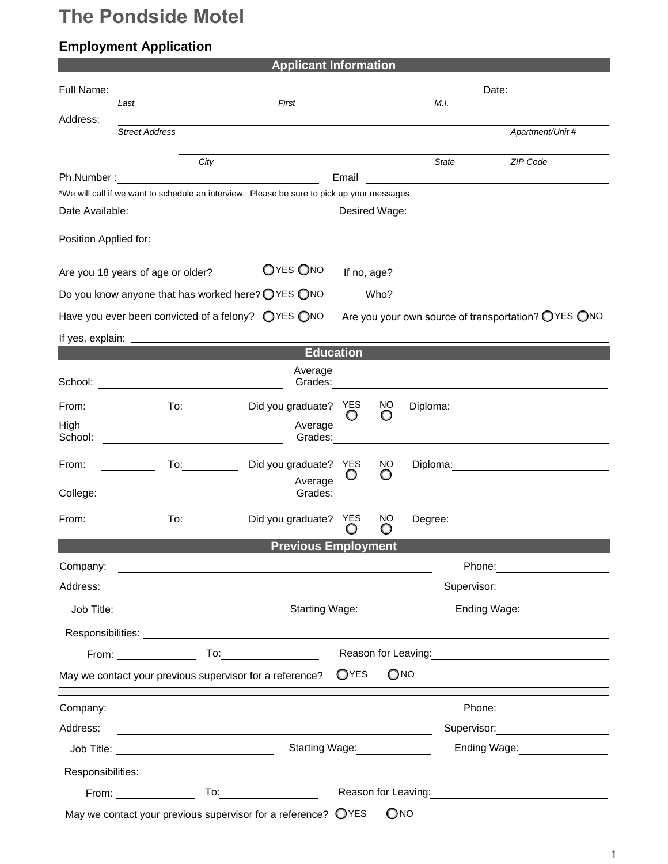## **The Pondside Motel**

## **Employment Application**

| <b>Applicant Information</b>                                                                                                                                                                                                         |  |  |  |  |
|--------------------------------------------------------------------------------------------------------------------------------------------------------------------------------------------------------------------------------------|--|--|--|--|
|                                                                                                                                                                                                                                      |  |  |  |  |
| M.I.                                                                                                                                                                                                                                 |  |  |  |  |
| Apartment/Unit #                                                                                                                                                                                                                     |  |  |  |  |
|                                                                                                                                                                                                                                      |  |  |  |  |
| <b>State</b><br>ZIP Code                                                                                                                                                                                                             |  |  |  |  |
| <u> 1989 - Andrea State Barbara, amerikan per</u>                                                                                                                                                                                    |  |  |  |  |
| *We will call if we want to schedule an interview. Please be sure to pick up your messages.                                                                                                                                          |  |  |  |  |
|                                                                                                                                                                                                                                      |  |  |  |  |
|                                                                                                                                                                                                                                      |  |  |  |  |
|                                                                                                                                                                                                                                      |  |  |  |  |
|                                                                                                                                                                                                                                      |  |  |  |  |
| Are you your own source of transportation? O YES ONO                                                                                                                                                                                 |  |  |  |  |
|                                                                                                                                                                                                                                      |  |  |  |  |
|                                                                                                                                                                                                                                      |  |  |  |  |
| Grades: The Contract of the Contract of the Contract of the Contract of the Contract of the Contract of the Co                                                                                                                       |  |  |  |  |
| NO<br>O                                                                                                                                                                                                                              |  |  |  |  |
|                                                                                                                                                                                                                                      |  |  |  |  |
| NO.<br>Diploma: 2000 Company Company Company Company Company Company Company Company Company Company Company Company Company Company Company Company Company Company Company Company Company Company Company Company Company Company |  |  |  |  |
|                                                                                                                                                                                                                                      |  |  |  |  |
| NO.                                                                                                                                                                                                                                  |  |  |  |  |
| <b>Previous Employment</b>                                                                                                                                                                                                           |  |  |  |  |
| Phone: ________________________                                                                                                                                                                                                      |  |  |  |  |
| Supervisor: 2000<br><u> 1989 - Johann Barbara, martxa al III-lea (h. 1989).</u>                                                                                                                                                      |  |  |  |  |
| Starting Wage:<br><u>Letting</u> Wage:<br>Ending Wage:<br><u>Letting</u> Wage:                                                                                                                                                       |  |  |  |  |
|                                                                                                                                                                                                                                      |  |  |  |  |
| Reason for Leaving:<br>Notice and the set of the set of the set of the set of the set of the set of the set of the set of the set of the set of the set of the set of the set of the set of the set of the set of the set of the     |  |  |  |  |
| QNO                                                                                                                                                                                                                                  |  |  |  |  |
|                                                                                                                                                                                                                                      |  |  |  |  |
| Supervisor: <b>Example 2019</b>                                                                                                                                                                                                      |  |  |  |  |
| Starting Wage: Starting Wage:<br>Ending Wage: North States and States and States and States and States and States and States and States and States                                                                                   |  |  |  |  |
|                                                                                                                                                                                                                                      |  |  |  |  |
|                                                                                                                                                                                                                                      |  |  |  |  |
| QNO                                                                                                                                                                                                                                  |  |  |  |  |
|                                                                                                                                                                                                                                      |  |  |  |  |